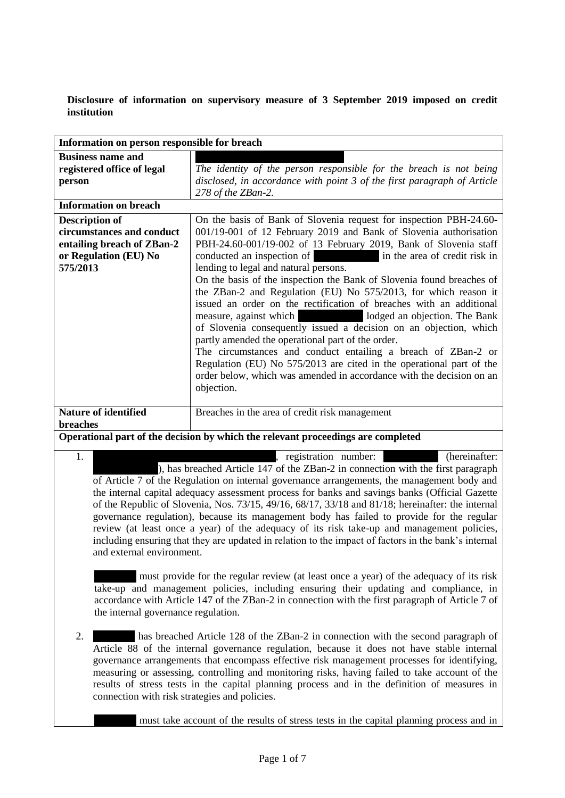**Disclosure of information on supervisory measure of 3 September 2019 imposed on credit institution**

| Information on person responsible for breach                                                                          |                                                                                                                                                                                                                                                                                                                                                                                                                                                                                                                                                                                                                                                                                                                                                                                                                                                                                                                                                      |
|-----------------------------------------------------------------------------------------------------------------------|------------------------------------------------------------------------------------------------------------------------------------------------------------------------------------------------------------------------------------------------------------------------------------------------------------------------------------------------------------------------------------------------------------------------------------------------------------------------------------------------------------------------------------------------------------------------------------------------------------------------------------------------------------------------------------------------------------------------------------------------------------------------------------------------------------------------------------------------------------------------------------------------------------------------------------------------------|
| <b>Business name and</b><br>registered office of legal<br>person                                                      | The identity of the person responsible for the breach is not being<br>disclosed, in accordance with point 3 of the first paragraph of Article<br>278 of the ZBan-2.                                                                                                                                                                                                                                                                                                                                                                                                                                                                                                                                                                                                                                                                                                                                                                                  |
| <b>Information on breach</b>                                                                                          |                                                                                                                                                                                                                                                                                                                                                                                                                                                                                                                                                                                                                                                                                                                                                                                                                                                                                                                                                      |
| <b>Description of</b><br>circumstances and conduct<br>entailing breach of ZBan-2<br>or Regulation (EU) No<br>575/2013 | On the basis of Bank of Slovenia request for inspection PBH-24.60-<br>001/19-001 of 12 February 2019 and Bank of Slovenia authorisation<br>PBH-24.60-001/19-002 of 13 February 2019, Bank of Slovenia staff<br>conducted an inspection of in the area of credit risk in<br>lending to legal and natural persons.<br>On the basis of the inspection the Bank of Slovenia found breaches of<br>the ZBan-2 and Regulation (EU) No 575/2013, for which reason it<br>issued an order on the rectification of breaches with an additional<br>measure, against which lodged an objection. The Bank<br>of Slovenia consequently issued a decision on an objection, which<br>partly amended the operational part of the order.<br>The circumstances and conduct entailing a breach of ZBan-2 or<br>Regulation (EU) No 575/2013 are cited in the operational part of the<br>order below, which was amended in accordance with the decision on an<br>objection. |
| <b>Nature of identified</b><br><b>breaches</b>                                                                        | Breaches in the area of credit risk management                                                                                                                                                                                                                                                                                                                                                                                                                                                                                                                                                                                                                                                                                                                                                                                                                                                                                                       |
| Operational part of the decision by which the relevant proceedings are completed                                      |                                                                                                                                                                                                                                                                                                                                                                                                                                                                                                                                                                                                                                                                                                                                                                                                                                                                                                                                                      |
| 1.                                                                                                                    | (hereinafter:<br>registration number:                                                                                                                                                                                                                                                                                                                                                                                                                                                                                                                                                                                                                                                                                                                                                                                                                                                                                                                |

), has breached Article 147 of the ZBan-2 in connection with the first paragraph of Article 7 of the Regulation on internal governance arrangements, the management body and the internal capital adequacy assessment process for banks and savings banks (Official Gazette of the Republic of Slovenia, Nos. 73/15, 49/16, 68/17, 33/18 and 81/18; hereinafter: the internal governance regulation), because its management body has failed to provide for the regular review (at least once a year) of the adequacy of its risk take-up and management policies, including ensuring that they are updated in relation to the impact of factors in the bank's internal and external environment.

………… must provide for the regular review (at least once a year) of the adequacy of its risk take-up and management policies, including ensuring their updating and compliance, in accordance with Article 147 of the ZBan-2 in connection with the first paragraph of Article 7 of the internal governance regulation.

2. has breached Article 128 of the ZBan-2 in connection with the second paragraph of Article 88 of the internal governance regulation, because it does not have stable internal governance arrangements that encompass effective risk management processes for identifying, measuring or assessing, controlling and monitoring risks, having failed to take account of the results of stress tests in the capital planning process and in the definition of measures in connection with risk strategies and policies.

must take account of the results of stress tests in the capital planning process and in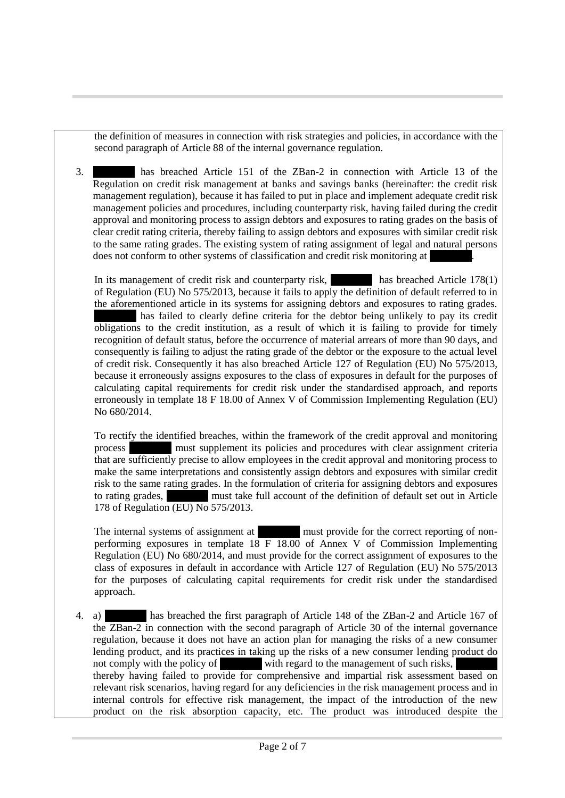the definition of measures in connection with risk strategies and policies, in accordance with the second paragraph of Article 88 of the internal governance regulation.

3. ………… has breached Article 151 of the ZBan-2 in connection with Article 13 of the Regulation on credit risk management at banks and savings banks (hereinafter: the credit risk management regulation), because it has failed to put in place and implement adequate credit risk management policies and procedures, including counterparty risk, having failed during the credit approval and monitoring process to assign debtors and exposures to rating grades on the basis of clear credit rating criteria, thereby failing to assign debtors and exposures with similar credit risk to the same rating grades. The existing system of rating assignment of legal and natural persons does not conform to other systems of classification and credit risk monitoring at

In its management of credit risk and counterparty risk, has breached Article 178(1) of Regulation (EU) No 575/2013, because it fails to apply the definition of default referred to in the aforementioned article in its systems for assigning debtors and exposures to rating grades. has failed to clearly define criteria for the debtor being unlikely to pay its credit obligations to the credit institution, as a result of which it is failing to provide for timely recognition of default status, before the occurrence of material arrears of more than 90 days, and consequently is failing to adjust the rating grade of the debtor or the exposure to the actual level of credit risk. Consequently it has also breached Article 127 of Regulation (EU) No 575/2013, because it erroneously assigns exposures to the class of exposures in default for the purposes of calculating capital requirements for credit risk under the standardised approach, and reports erroneously in template 18 F 18.00 of Annex V of Commission Implementing Regulation (EU) No 680/2014.

To rectify the identified breaches, within the framework of the credit approval and monitoring process ………… must supplement its policies and procedures with clear assignment criteria that are sufficiently precise to allow employees in the credit approval and monitoring process to make the same interpretations and consistently assign debtors and exposures with similar credit risk to the same rating grades. In the formulation of criteria for assigning debtors and exposures to rating grades, must take full account of the definition of default set out in Article 178 of Regulation (EU) No 575/2013.

The internal systems of assignment at must provide for the correct reporting of nonperforming exposures in template 18 F 18.00 of Annex V of Commission Implementing Regulation (EU) No 680/2014, and must provide for the correct assignment of exposures to the class of exposures in default in accordance with Article 127 of Regulation (EU) No 575/2013 for the purposes of calculating capital requirements for credit risk under the standardised approach.

4. a) ………… has breached the first paragraph of Article 148 of the ZBan-2 and Article 167 of the ZBan-2 in connection with the second paragraph of Article 30 of the internal governance regulation, because it does not have an action plan for managing the risks of a new consumer lending product, and its practices in taking up the risks of a new consumer lending product do not comply with the policy of with regard to the management of such risks, thereby having failed to provide for comprehensive and impartial risk assessment based on relevant risk scenarios, having regard for any deficiencies in the risk management process and in internal controls for effective risk management, the impact of the introduction of the new product on the risk absorption capacity, etc. The product was introduced despite the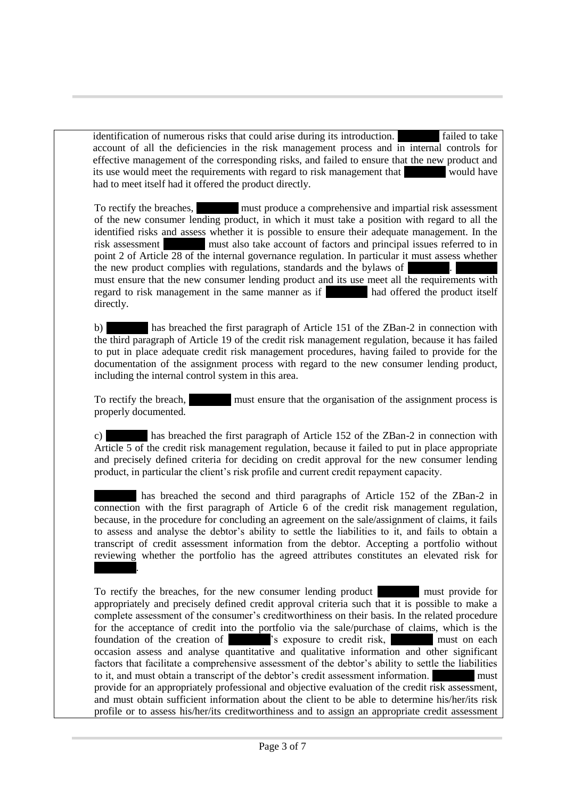identification of numerous risks that could arise during its introduction. The failed to take account of all the deficiencies in the risk management process and in internal controls for effective management of the corresponding risks, and failed to ensure that the new product and its use would meet the requirements with regard to risk management that would have had to meet itself had it offered the product directly.

To rectify the breaches, must produce a comprehensive and impartial risk assessment of the new consumer lending product, in which it must take a position with regard to all the identified risks and assess whether it is possible to ensure their adequate management. In the risk assessment must also take account of factors and principal issues referred to in point 2 of Article 28 of the internal governance regulation. In particular it must assess whether the new product complies with regulations, standards and the bylaws of must ensure that the new consumer lending product and its use meet all the requirements with regard to risk management in the same manner as if had offered the product itself directly.

b) has breached the first paragraph of Article 151 of the ZBan-2 in connection with the third paragraph of Article 19 of the credit risk management regulation, because it has failed to put in place adequate credit risk management procedures, having failed to provide for the documentation of the assignment process with regard to the new consumer lending product, including the internal control system in this area.

To rectify the breach, must ensure that the organisation of the assignment process is properly documented.

c) ………… has breached the first paragraph of Article 152 of the ZBan-2 in connection with Article 5 of the credit risk management regulation, because it failed to put in place appropriate and precisely defined criteria for deciding on credit approval for the new consumer lending product, in particular the client's risk profile and current credit repayment capacity.

has breached the second and third paragraphs of Article 152 of the ZBan-2 in connection with the first paragraph of Article 6 of the credit risk management regulation, because, in the procedure for concluding an agreement on the sale/assignment of claims, it fails to assess and analyse the debtor's ability to settle the liabilities to it, and fails to obtain a transcript of credit assessment information from the debtor. Accepting a portfolio without reviewing whether the portfolio has the agreed attributes constitutes an elevated risk for ………….

To rectify the breaches, for the new consumer lending product ………… must provide for appropriately and precisely defined credit approval criteria such that it is possible to make a complete assessment of the consumer's creditworthiness on their basis. In the related procedure for the acceptance of credit into the portfolio via the sale/purchase of claims, which is the foundation of the creation of  $\overline{\phantom{a}}$  's exposure to credit risk, foundation of the creation of **EXECU** is exposure to credit risk, **EXECU is a must on each** occasion assess and analyse quantitative and qualitative information and other significant factors that facilitate a comprehensive assessment of the debtor's ability to settle the liabilities to it, and must obtain a transcript of the debtor's credit assessment information. ………… must provide for an appropriately professional and objective evaluation of the credit risk assessment, and must obtain sufficient information about the client to be able to determine his/her/its risk profile or to assess his/her/its creditworthiness and to assign an appropriate credit assessment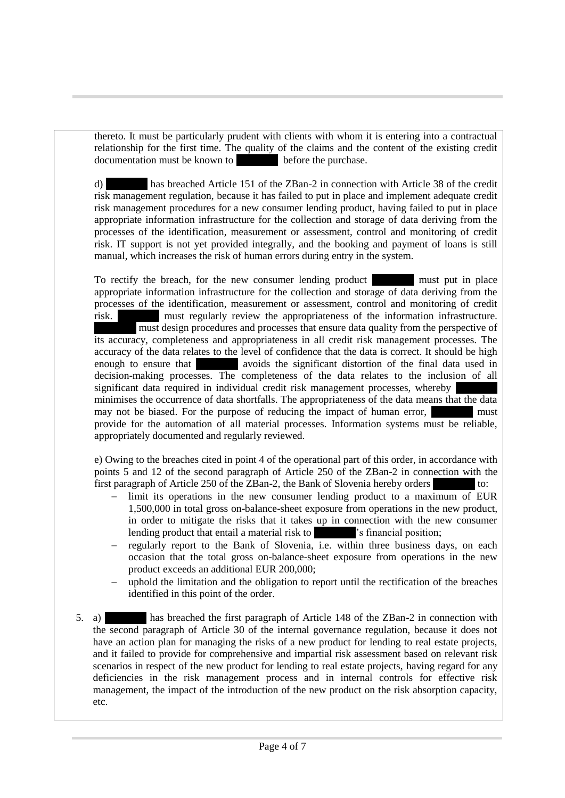thereto. It must be particularly prudent with clients with whom it is entering into a contractual relationship for the first time. The quality of the claims and the content of the existing credit documentation must be known to documentation must be known to

d) has breached Article 151 of the ZBan-2 in connection with Article 38 of the credit risk management regulation, because it has failed to put in place and implement adequate credit risk management procedures for a new consumer lending product, having failed to put in place appropriate information infrastructure for the collection and storage of data deriving from the processes of the identification, measurement or assessment, control and monitoring of credit risk. IT support is not yet provided integrally, and the booking and payment of loans is still manual, which increases the risk of human errors during entry in the system.

To rectify the breach, for the new consumer lending product must put in place appropriate information infrastructure for the collection and storage of data deriving from the processes of the identification, measurement or assessment, control and monitoring of credit risk. The must regularly review the appropriateness of the information infrastructure. ………… must design procedures and processes that ensure data quality from the perspective of its accuracy, completeness and appropriateness in all credit risk management processes. The accuracy of the data relates to the level of confidence that the data is correct. It should be high enough to ensure that **Exercise 2** avoids the significant distortion of the final data used in decision-making processes. The completeness of the data relates to the inclusion of all significant data required in individual credit risk management processes, whereby minimises the occurrence of data shortfalls. The appropriateness of the data means that the data may not be biased. For the purpose of reducing the impact of human error, provide for the automation of all material processes. Information systems must be reliable, appropriately documented and regularly reviewed.

e) Owing to the breaches cited in point 4 of the operational part of this order, in accordance with points 5 and 12 of the second paragraph of Article 250 of the ZBan-2 in connection with the first paragraph of Article 250 of the ZBan-2, the Bank of Slovenia hereby orders

- limit its operations in the new consumer lending product to a maximum of EUR 1,500,000 in total gross on-balance-sheet exposure from operations in the new product, in order to mitigate the risks that it takes up in connection with the new consumer lending product that entail a material risk to variancial position;
- regularly report to the Bank of Slovenia, i.e. within three business days, on each occasion that the total gross on-balance-sheet exposure from operations in the new product exceeds an additional EUR 200,000;
- uphold the limitation and the obligation to report until the rectification of the breaches identified in this point of the order.
- 5. a) ………… has breached the first paragraph of Article 148 of the ZBan-2 in connection with the second paragraph of Article 30 of the internal governance regulation, because it does not have an action plan for managing the risks of a new product for lending to real estate projects, and it failed to provide for comprehensive and impartial risk assessment based on relevant risk scenarios in respect of the new product for lending to real estate projects, having regard for any deficiencies in the risk management process and in internal controls for effective risk management, the impact of the introduction of the new product on the risk absorption capacity, etc.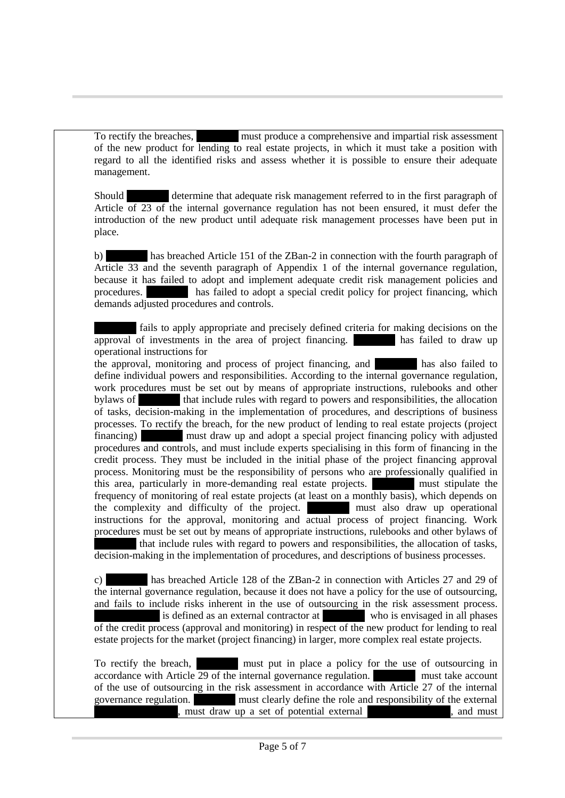To rectify the breaches, must produce a comprehensive and impartial risk assessment of the new product for lending to real estate projects, in which it must take a position with regard to all the identified risks and assess whether it is possible to ensure their adequate management.

Should ………… determine that adequate risk management referred to in the first paragraph of Article of 23 of the internal governance regulation has not been ensured, it must defer the introduction of the new product until adequate risk management processes have been put in place.

b) has breached Article 151 of the ZBan-2 in connection with the fourth paragraph of Article 33 and the seventh paragraph of Appendix 1 of the internal governance regulation, because it has failed to adopt and implement adequate credit risk management policies and procedures. ………… has failed to adopt a special credit policy for project financing, which demands adjusted procedures and controls.

fails to apply appropriate and precisely defined criteria for making decisions on the of investments in the area of project financing.  $\alpha$  approval of investments in the area of project financing. operational instructions for

the approval, monitoring and process of project financing, and ………… has also failed to define individual powers and responsibilities. According to the internal governance regulation, work procedures must be set out by means of appropriate instructions, rulebooks and other bylaws of that include rules with regard to powers and responsibilities, the allocation of tasks, decision-making in the implementation of procedures, and descriptions of business processes. To rectify the breach, for the new product of lending to real estate projects (project financing) must draw up and adopt a special project financing policy with adjusted procedures and controls, and must include experts specialising in this form of financing in the credit process. They must be included in the initial phase of the project financing approval process. Monitoring must be the responsibility of persons who are professionally qualified in this area, particularly in more-demanding real estate projects. ………… must stipulate the frequency of monitoring of real estate projects (at least on a monthly basis), which depends on the complexity and difficulty of the project. ………… must also draw up operational instructions for the approval, monitoring and actual process of project financing. Work procedures must be set out by means of appropriate instructions, rulebooks and other bylaws of that include rules with regard to powers and responsibilities, the allocation of tasks,

decision-making in the implementation of procedures, and descriptions of business processes.

c) ………… has breached Article 128 of the ZBan-2 in connection with Articles 27 and 29 of the internal governance regulation, because it does not have a policy for the use of outsourcing, and fails to include risks inherent in the use of outsourcing in the risk assessment process. is defined as an external contractor at who is envisaged in all phases of the credit process (approval and monitoring) in respect of the new product for lending to real estate projects for the market (project financing) in larger, more complex real estate projects.

To rectify the breach, **we must put in place a policy for the use of outsourcing in** accordance with Article 29 of the internal governance regulation. **Exercise 19 must take account** of the use of outsourcing in the risk assessment in accordance with Article 27 of the internal governance regulation. <br>
must clearly define the role and responsibility of the external<br>
and must<br>
and must must draw up a set of potential external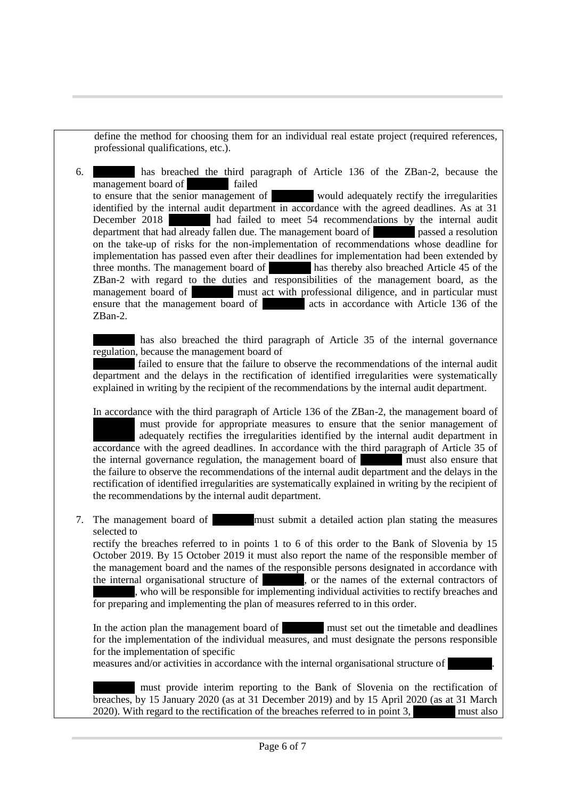define the method for choosing them for an individual real estate project (required references, professional qualifications, etc.).

6. ………… has breached the third paragraph of Article 136 of the ZBan-2, because the management board of **Example 1** failed to ensure that the senior management of would adequately rectify the irregularities identified by the internal audit department in accordance with the agreed deadlines. As at 31<br>December 2018 had failed to meet 54 recommendations by the internal audit had failed to meet 54 recommendations by the internal audit department that had already fallen due. The management board of passed a resolution on the take-up of risks for the non-implementation of recommendations whose deadline for implementation has passed even after their deadlines for implementation had been extended by three months. The management board of has thereby also breached Article 45 of the ZBan-2 with regard to the duties and responsibilities of the management board, as the management board of **which must act with professional diligence**, and in particular must ensure that the management board of **Exercía acts** in accordance with Article 136 of the ZBan-2.

has also breached the third paragraph of Article 35 of the internal governance regulation, because the management board of

failed to ensure that the failure to observe the recommendations of the internal audit department and the delays in the rectification of identified irregularities were systematically explained in writing by the recipient of the recommendations by the internal audit department.

In accordance with the third paragraph of Article 136 of the ZBan-2, the management board of ………… must provide for appropriate measures to ensure that the senior management of adequately rectifies the irregularities identified by the internal audit department in accordance with the agreed deadlines. In accordance with the third paragraph of Article 35 of the internal governance regulation, the management board of **Example 1** must also ensure that the failure to observe the recommendations of the internal audit department and the delays in the rectification of identified irregularities are systematically explained in writing by the recipient of the recommendations by the internal audit department.

7. The management board of **Exercise 20** must submit a detailed action plan stating the measures selected to

rectify the breaches referred to in points 1 to 6 of this order to the Bank of Slovenia by 15 October 2019. By 15 October 2019 it must also report the name of the responsible member of the management board and the names of the responsible persons designated in accordance with the internal organisational structure of  $\blacksquare$ , or the names of the external contractors of the internal structure internal structure of . . or the names of the external contractors of who will be responsible for implementing individual activities to rectify breaches and

for preparing and implementing the plan of measures referred to in this order.

In the action plan the management board of must set out the timetable and deadlines for the implementation of the individual measures, and must designate the persons responsible for the implementation of specific

measures and/or activities in accordance with the internal organisational structure of

………… must provide interim reporting to the Bank of Slovenia on the rectification of breaches, by 15 January 2020 (as at 31 December 2019) and by 15 April 2020 (as at 31 March 2020). With regard to the rectification of the breaches referred to in point 3, must also